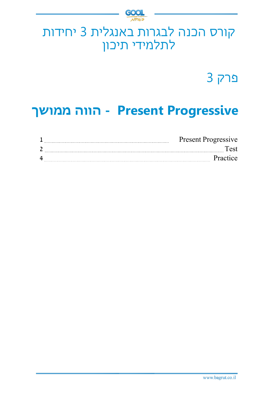

# קורס הכנה לבגרות באנגלית 3 יחידות לתלמידי תיכון

פרק 3

# **Progressive Present - הווה ממושך**

|   | <b>Present Progressive</b> |          |
|---|----------------------------|----------|
|   |                            |          |
| 4 |                            | Practice |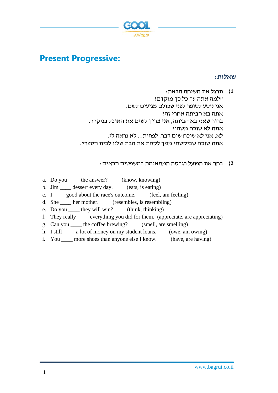

# **Present Progressive:**

### **שאלות:**

**1(** תרגל את השיחה הבאה: "למה אתה ער כל כך מוקדם? אני נוסע לסופר לפני שכולם מגיעים לשם. אתה בא הביתה אחרי זה? ברור שאני בא הביתה, אני צריך לשים את האוכל במקרר. אתה לא שוכח משהו? לא, אני לא שוכח שום דבר. לפחות... לא נראה לי. אתה שוכח שביקשתי ממך לקחת את הבת שלנו לבית הספר ".

### **2(** בחר את הפועל בגרסה המתאימה במשפטים הבאים:

- a. Do you the answer? (know, knowing)
- b. Jim \_\_\_\_\_ dessert every day. (eats, is eating)
- c. I solut the race's outcome. (feel, am feeling)
- d. She her mother. (resembles, is resembling)
- e. Do you \_\_\_\_ they will win? (think, thinking)
- f. They really \_\_\_\_ everything you did for them. (appreciate, are appreciating)
- g. Can you \_\_\_\_ the coffee brewing? (smell, are smelling)
- h. I still \_\_\_\_\_ a lot of money on my student loans. (owe, am owing)
- i. You \_\_\_\_ more shoes than anyone else I know. (have, are having)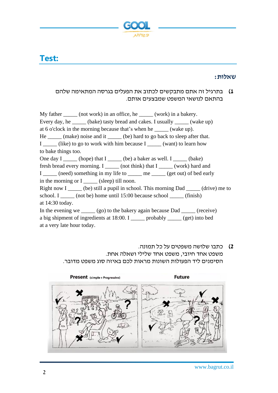

# **Test:**

### **שאלות:**

## **1(** בתרגיל זה אתם מתבקשים לכתוב את הפעלים בגרסה המתאימה שלהם בהתאם לנושאי המשפט שמבצעים אותם.

My father \_\_\_\_\_ (not work) in an office, he \_\_\_\_\_ (work) in a bakery. Every day, he \_\_\_\_\_\_ (bake) tasty bread and cakes. I usually \_\_\_\_\_ (wake up) at 6 o'clock in the morning because that's when he \_\_\_\_\_ (wake up). He \_\_\_\_\_\_ (make) noise and it \_\_\_\_\_\_ (be) hard to go back to sleep after that. I \_\_\_\_\_ (like) to go to work with him because I \_\_\_\_\_ (want) to learn how to bake things too. One day  $I$  \_\_\_\_\_\_ (hope) that  $I$  \_\_\_\_\_\_ (be) a baker as well.  $I$  \_\_\_\_\_\_ (bake) fresh bread every morning. I and interest (work) hard and  $\overline{a}$  and  $\overline{b}$  (work) hard and I \_\_\_\_\_ (need) something in my life to \_\_\_\_\_\_ me \_\_\_\_\_ (get out) of bed early in the morning or I \_\_\_\_\_ (sleep) till noon. Right now I \_\_\_\_\_\_ (be) still a pupil in school. This morning Dad \_\_\_\_\_\_ (drive) me to school. I \_\_\_\_\_ (not be) home until 15:00 because school \_\_\_\_\_ (finish) at 14:30 today. In the evening we \_\_\_\_\_ (go) to the bakery again because Dad \_\_\_\_\_ (receive) a big shipment of ingredients at 18:00. I \_\_\_\_\_ probably \_\_\_\_\_ (get) into bed at a very late hour today.

**2(** כתבו שלושה משפטים על כל תמונה. משפט אחד חיובי, משפט אחד שלילי ושאלה אחת. הסימנים ליד הפעולות ה שונות מראות לכם באיזה סוג משפט מדובר.

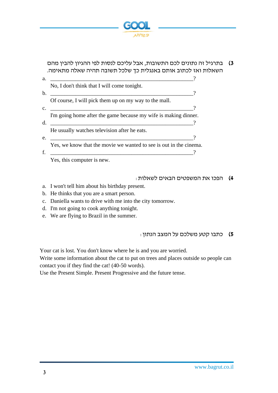

## **3(** בתרגיל זה נתונים לכם התשובות, אבל עליכם לנסות לפי ההגיון להבין מהם השאלות ואז לכתוב אותם באנגלית כך שלכל תשובה תהיה שאלה מתאימה.

| a.             |                                                                    |  |
|----------------|--------------------------------------------------------------------|--|
|                | No, I don't think that I will come tonight.                        |  |
| $\mathbf b$ .  |                                                                    |  |
|                | Of course, I will pick them up on my way to the mall.              |  |
| $\mathbf{C}$ . |                                                                    |  |
|                | I'm going home after the game because my wife is making dinner.    |  |
| d.             |                                                                    |  |
|                | He usually watches television after he eats.                       |  |
| e.             |                                                                    |  |
|                | Yes, we know that the movie we wanted to see is out in the cinema. |  |
| f.             |                                                                    |  |
|                | Yes, this computer is new.                                         |  |

#### **4(** הפכו את המשפטים הבאים לשאלות:

- a. I won't tell him about his birthday present.
- b. He thinks that you are a smart person.
- c. Daniella wants to drive with me into the city tomorrow.
- d. I'm not going to cook anything tonight.
- e. We are flying to Brazil in the summer.

#### **5(** כתבו קטע משלכם על המצב הנתו ן:

Your cat is lost. You don't know where he is and you are worried.

Write some information about the cat to put on trees and places outside so people can contact you if they find the cat! (40-50 words).

Use the Present Simple. Present Progressive and the future tense.